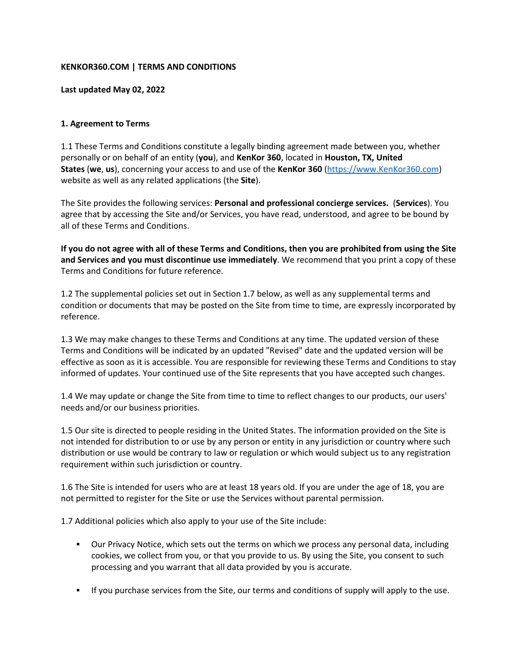## **KENKOR360.COM | TERMS AND CONDITIONS**

#### **Last updated May 02, 2022**

## **1. Agreement to Terms**

1.1 These Terms and Conditions constitute a legally binding agreement made between you, whether personally or on behalf of an entity (**you**), and **KenKor 360**, located in **Houston, TX, United States** (**we**, **us**), concerning your access to and use of the **KenKor 360** [\(https://www.KenKor360.com\)](https://www.kenkor360.com/) website as well as any related applications (the **Site**).

The Site provides the following services: **Personal and professional concierge services.** (**Services**). You agree that by accessing the Site and/or Services, you have read, understood, and agree to be bound by all of these Terms and Conditions.

**If you do not agree with all of these Terms and Conditions, then you are prohibited from using the Site and Services and you must discontinue use immediately**. We recommend that you print a copy of these Terms and Conditions for future reference.

1.2 The supplemental policies set out in Section 1.7 below, as well as any supplemental terms and condition or documents that may be posted on the Site from time to time, are expressly incorporated by reference.

1.3 We may make changes to these Terms and Conditions at any time. The updated version of these Terms and Conditions will be indicated by an updated "Revised" date and the updated version will be effective as soon as it is accessible. You are responsible for reviewing these Terms and Conditions to stay informed of updates. Your continued use of the Site represents that you have accepted such changes.

1.4 We may update or change the Site from time to time to reflect changes to our products, our users' needs and/or our business priorities.

1.5 Our site is directed to people residing in the United States. The information provided on the Site is not intended for distribution to or use by any person or entity in any jurisdiction or country where such distribution or use would be contrary to law or regulation or which would subject us to any registration requirement within such jurisdiction or country.

1.6 The Site is intended for users who are at least 18 years old. If you are under the age of 18, you are not permitted to register for the Site or use the Services without parental permission.

1.7 Additional policies which also apply to your use of the Site include:

- Our Privacy Notice, which sets out the terms on which we process any personal data, including cookies, we collect from you, or that you provide to us. By using the Site, you consent to such processing and you warrant that all data provided by you is accurate.
- **■** If you purchase services from the Site, our terms and conditions of supply will apply to the use.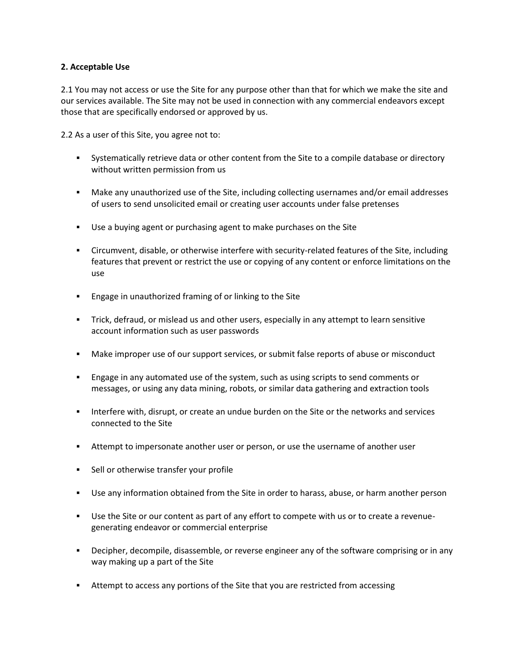#### **2. Acceptable Use**

2.1 You may not access or use the Site for any purpose other than that for which we make the site and our services available. The Site may not be used in connection with any commercial endeavors except those that are specifically endorsed or approved by us.

2.2 As a user of this Site, you agree not to:

- **•** Systematically retrieve data or other content from the Site to a compile database or directory without written permission from us
- Make any unauthorized use of the Site, including collecting usernames and/or email addresses of users to send unsolicited email or creating user accounts under false pretenses
- Use a buying agent or purchasing agent to make purchases on the Site
- Circumvent, disable, or otherwise interfere with security-related features of the Site, including features that prevent or restrict the use or copying of any content or enforce limitations on the use
- Engage in unauthorized framing of or linking to the Site
- **EXECT** Trick, defraud, or mislead us and other users, especially in any attempt to learn sensitive account information such as user passwords
- Make improper use of our support services, or submit false reports of abuse or misconduct
- **Engage in any automated use of the system, such as using scripts to send comments or** messages, or using any data mining, robots, or similar data gathering and extraction tools
- **■** Interfere with, disrupt, or create an undue burden on the Site or the networks and services connected to the Site
- **EXECT** Attempt to impersonate another user or person, or use the username of another user
- Sell or otherwise transfer your profile
- Use any information obtained from the Site in order to harass, abuse, or harm another person
- **■** Use the Site or our content as part of any effort to compete with us or to create a revenuegenerating endeavor or commercial enterprise
- **•** Decipher, decompile, disassemble, or reverse engineer any of the software comprising or in any way making up a part of the Site
- **EXECT** Attempt to access any portions of the Site that you are restricted from accessing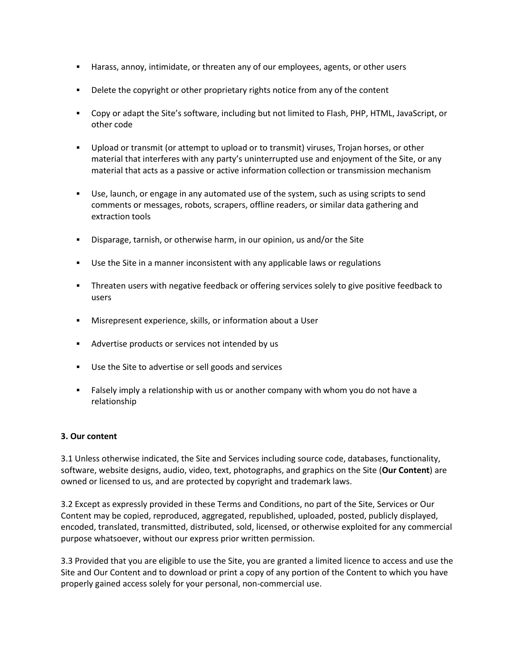- **EXED** Harass, annoy, intimidate, or threaten any of our employees, agents, or other users
- **■** Delete the copyright or other proprietary rights notice from any of the content
- Copy or adapt the Site's software, including but not limited to Flash, PHP, HTML, JavaScript, or other code
- Upload or transmit (or attempt to upload or to transmit) viruses, Trojan horses, or other material that interferes with any party's uninterrupted use and enjoyment of the Site, or any material that acts as a passive or active information collection or transmission mechanism
- Use, launch, or engage in any automated use of the system, such as using scripts to send comments or messages, robots, scrapers, offline readers, or similar data gathering and extraction tools
- Disparage, tarnish, or otherwise harm, in our opinion, us and/or the Site
- Use the Site in a manner inconsistent with any applicable laws or regulations
- **•** Threaten users with negative feedback or offering services solely to give positive feedback to users
- Misrepresent experience, skills, or information about a User
- Advertise products or services not intended by us
- Use the Site to advertise or sell goods and services
- **EXECT FALL ING THE INCO IS A THE INCO IS A THE VIOLAT INCO A** FALL And Sale are FALL and Sale a FALL And Sale a relationship

#### **3. Our content**

3.1 Unless otherwise indicated, the Site and Services including source code, databases, functionality, software, website designs, audio, video, text, photographs, and graphics on the Site (**Our Content**) are owned or licensed to us, and are protected by copyright and trademark laws.

3.2 Except as expressly provided in these Terms and Conditions, no part of the Site, Services or Our Content may be copied, reproduced, aggregated, republished, uploaded, posted, publicly displayed, encoded, translated, transmitted, distributed, sold, licensed, or otherwise exploited for any commercial purpose whatsoever, without our express prior written permission.

3.3 Provided that you are eligible to use the Site, you are granted a limited licence to access and use the Site and Our Content and to download or print a copy of any portion of the Content to which you have properly gained access solely for your personal, non-commercial use.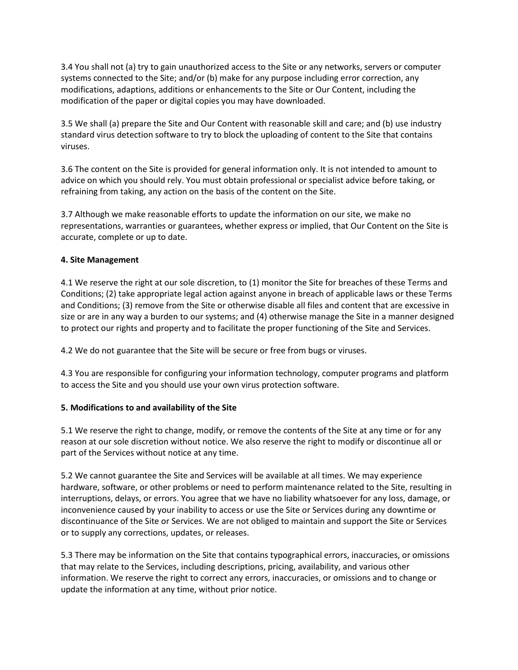3.4 You shall not (a) try to gain unauthorized access to the Site or any networks, servers or computer systems connected to the Site; and/or (b) make for any purpose including error correction, any modifications, adaptions, additions or enhancements to the Site or Our Content, including the modification of the paper or digital copies you may have downloaded.

3.5 We shall (a) prepare the Site and Our Content with reasonable skill and care; and (b) use industry standard virus detection software to try to block the uploading of content to the Site that contains viruses.

3.6 The content on the Site is provided for general information only. It is not intended to amount to advice on which you should rely. You must obtain professional or specialist advice before taking, or refraining from taking, any action on the basis of the content on the Site.

3.7 Although we make reasonable efforts to update the information on our site, we make no representations, warranties or guarantees, whether express or implied, that Our Content on the Site is accurate, complete or up to date.

# **4. Site Management**

4.1 We reserve the right at our sole discretion, to (1) monitor the Site for breaches of these Terms and Conditions; (2) take appropriate legal action against anyone in breach of applicable laws or these Terms and Conditions; (3) remove from the Site or otherwise disable all files and content that are excessive in size or are in any way a burden to our systems; and (4) otherwise manage the Site in a manner designed to protect our rights and property and to facilitate the proper functioning of the Site and Services.

4.2 We do not guarantee that the Site will be secure or free from bugs or viruses.

4.3 You are responsible for configuring your information technology, computer programs and platform to access the Site and you should use your own virus protection software.

# **5. Modifications to and availability of the Site**

5.1 We reserve the right to change, modify, or remove the contents of the Site at any time or for any reason at our sole discretion without notice. We also reserve the right to modify or discontinue all or part of the Services without notice at any time.

5.2 We cannot guarantee the Site and Services will be available at all times. We may experience hardware, software, or other problems or need to perform maintenance related to the Site, resulting in interruptions, delays, or errors. You agree that we have no liability whatsoever for any loss, damage, or inconvenience caused by your inability to access or use the Site or Services during any downtime or discontinuance of the Site or Services. We are not obliged to maintain and support the Site or Services or to supply any corrections, updates, or releases.

5.3 There may be information on the Site that contains typographical errors, inaccuracies, or omissions that may relate to the Services, including descriptions, pricing, availability, and various other information. We reserve the right to correct any errors, inaccuracies, or omissions and to change or update the information at any time, without prior notice.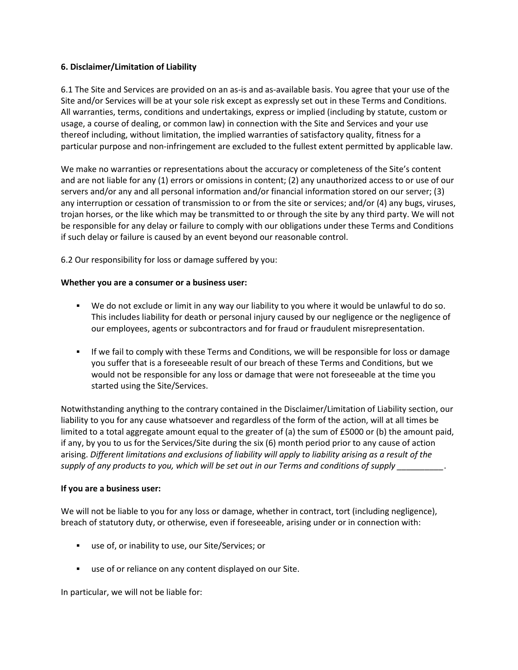## **6. Disclaimer/Limitation of Liability**

6.1 The Site and Services are provided on an as-is and as-available basis. You agree that your use of the Site and/or Services will be at your sole risk except as expressly set out in these Terms and Conditions. All warranties, terms, conditions and undertakings, express or implied (including by statute, custom or usage, a course of dealing, or common law) in connection with the Site and Services and your use thereof including, without limitation, the implied warranties of satisfactory quality, fitness for a particular purpose and non-infringement are excluded to the fullest extent permitted by applicable law.

We make no warranties or representations about the accuracy or completeness of the Site's content and are not liable for any (1) errors or omissions in content; (2) any unauthorized access to or use of our servers and/or any and all personal information and/or financial information stored on our server; (3) any interruption or cessation of transmission to or from the site or services; and/or (4) any bugs, viruses, trojan horses, or the like which may be transmitted to or through the site by any third party. We will not be responsible for any delay or failure to comply with our obligations under these Terms and Conditions if such delay or failure is caused by an event beyond our reasonable control.

6.2 Our responsibility for loss or damage suffered by you:

#### **Whether you are a consumer or a business user:**

- We do not exclude or limit in any way our liability to you where it would be unlawful to do so. This includes liability for death or personal injury caused by our negligence or the negligence of our employees, agents or subcontractors and for fraud or fraudulent misrepresentation.
- **■** If we fail to comply with these Terms and Conditions, we will be responsible for loss or damage you suffer that is a foreseeable result of our breach of these Terms and Conditions, but we would not be responsible for any loss or damage that were not foreseeable at the time you started using the Site/Services.

Notwithstanding anything to the contrary contained in the Disclaimer/Limitation of Liability section, our liability to you for any cause whatsoever and regardless of the form of the action, will at all times be limited to a total aggregate amount equal to the greater of (a) the sum of £5000 or (b) the amount paid, if any, by you to us for the Services/Site during the six (6) month period prior to any cause of action arising. *Different limitations and exclusions of liability will apply to liability arising as a result of the supply of any products to you, which will be set out in our Terms and conditions of supply \_\_\_\_\_\_\_\_\_\_*.

#### **If you are a business user:**

We will not be liable to you for any loss or damage, whether in contract, tort (including negligence), breach of statutory duty, or otherwise, even if foreseeable, arising under or in connection with:

- use of, or inability to use, our Site/Services; or
- use of or reliance on any content displayed on our Site.

In particular, we will not be liable for: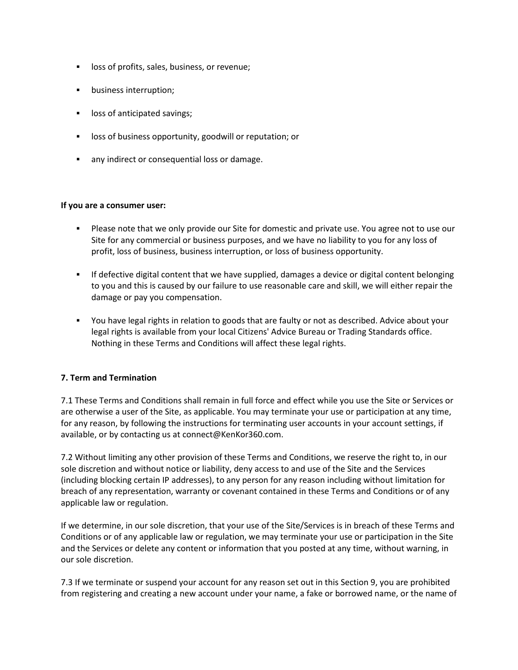- **EXEC** loss of profits, sales, business, or revenue;
- business interruption;
- loss of anticipated savings;
- loss of business opportunity, goodwill or reputation; or
- any indirect or consequential loss or damage.

#### **If you are a consumer user:**

- Please note that we only provide our Site for domestic and private use. You agree not to use our Site for any commercial or business purposes, and we have no liability to you for any loss of profit, loss of business, business interruption, or loss of business opportunity.
- **■** If defective digital content that we have supplied, damages a device or digital content belonging to you and this is caused by our failure to use reasonable care and skill, we will either repair the damage or pay you compensation.
- You have legal rights in relation to goods that are faulty or not as described. Advice about your legal rights is available from your local Citizens' Advice Bureau or Trading Standards office. Nothing in these Terms and Conditions will affect these legal rights.

#### **7. Term and Termination**

7.1 These Terms and Conditions shall remain in full force and effect while you use the Site or Services or are otherwise a user of the Site, as applicable. You may terminate your use or participation at any time, for any reason, by following the instructions for terminating user accounts in your account settings, if available, or by contacting us at connect@KenKor360.com.

7.2 Without limiting any other provision of these Terms and Conditions, we reserve the right to, in our sole discretion and without notice or liability, deny access to and use of the Site and the Services (including blocking certain IP addresses), to any person for any reason including without limitation for breach of any representation, warranty or covenant contained in these Terms and Conditions or of any applicable law or regulation.

If we determine, in our sole discretion, that your use of the Site/Services is in breach of these Terms and Conditions or of any applicable law or regulation, we may terminate your use or participation in the Site and the Services or delete any content or information that you posted at any time, without warning, in our sole discretion.

7.3 If we terminate or suspend your account for any reason set out in this Section 9, you are prohibited from registering and creating a new account under your name, a fake or borrowed name, or the name of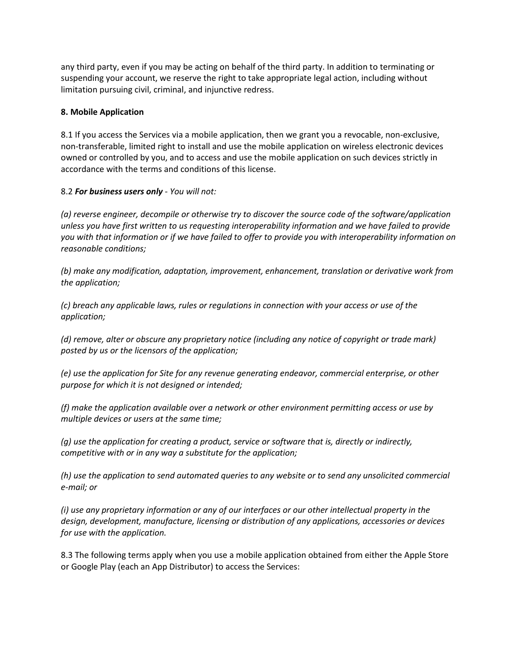any third party, even if you may be acting on behalf of the third party. In addition to terminating or suspending your account, we reserve the right to take appropriate legal action, including without limitation pursuing civil, criminal, and injunctive redress.

#### **8. Mobile Application**

8.1 If you access the Services via a mobile application, then we grant you a revocable, non-exclusive, non-transferable, limited right to install and use the mobile application on wireless electronic devices owned or controlled by you, and to access and use the mobile application on such devices strictly in accordance with the terms and conditions of this license.

# 8.2 *For business users only - You will not:*

*(a) reverse engineer, decompile or otherwise try to discover the source code of the software/application unless you have first written to us requesting interoperability information and we have failed to provide you with that information or if we have failed to offer to provide you with interoperability information on reasonable conditions;*

*(b) make any modification, adaptation, improvement, enhancement, translation or derivative work from the application;*

*(c) breach any applicable laws, rules or regulations in connection with your access or use of the application;*

*(d) remove, alter or obscure any proprietary notice (including any notice of copyright or trade mark) posted by us or the licensors of the application;*

*(e) use the application for Site for any revenue generating endeavor, commercial enterprise, or other purpose for which it is not designed or intended;*

*(f) make the application available over a network or other environment permitting access or use by multiple devices or users at the same time;*

*(g) use the application for creating a product, service or software that is, directly or indirectly, competitive with or in any way a substitute for the application;*

*(h) use the application to send automated queries to any website or to send any unsolicited commercial e-mail; or*

*(i) use any proprietary information or any of our interfaces or our other intellectual property in the design, development, manufacture, licensing or distribution of any applications, accessories or devices for use with the application.*

8.3 The following terms apply when you use a mobile application obtained from either the Apple Store or Google Play (each an App Distributor) to access the Services: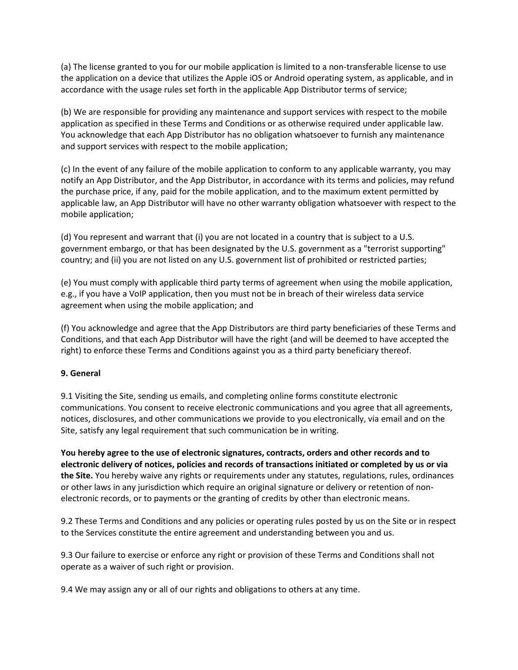(a) The license granted to you for our mobile application is limited to a non-transferable license to use the application on a device that utilizes the Apple iOS or Android operating system, as applicable, and in accordance with the usage rules set forth in the applicable App Distributor terms of service;

(b) We are responsible for providing any maintenance and support services with respect to the mobile application as specified in these Terms and Conditions or as otherwise required under applicable law. You acknowledge that each App Distributor has no obligation whatsoever to furnish any maintenance and support services with respect to the mobile application;

(c) In the event of any failure of the mobile application to conform to any applicable warranty, you may notify an App Distributor, and the App Distributor, in accordance with its terms and policies, may refund the purchase price, if any, paid for the mobile application, and to the maximum extent permitted by applicable law, an App Distributor will have no other warranty obligation whatsoever with respect to the mobile application;

(d) You represent and warrant that (i) you are not located in a country that is subject to a U.S. government embargo, or that has been designated by the U.S. government as a "terrorist supporting" country; and (ii) you are not listed on any U.S. government list of prohibited or restricted parties;

(e) You must comply with applicable third party terms of agreement when using the mobile application, e.g., if you have a VoIP application, then you must not be in breach of their wireless data service agreement when using the mobile application; and

(f) You acknowledge and agree that the App Distributors are third party beneficiaries of these Terms and Conditions, and that each App Distributor will have the right (and will be deemed to have accepted the right) to enforce these Terms and Conditions against you as a third party beneficiary thereof.

#### **9. General**

9.1 Visiting the Site, sending us emails, and completing online forms constitute electronic communications. You consent to receive electronic communications and you agree that all agreements, notices, disclosures, and other communications we provide to you electronically, via email and on the Site, satisfy any legal requirement that such communication be in writing.

**You hereby agree to the use of electronic signatures, contracts, orders and other records and to electronic delivery of notices, policies and records of transactions initiated or completed by us or via the Site.** You hereby waive any rights or requirements under any statutes, regulations, rules, ordinances or other laws in any jurisdiction which require an original signature or delivery or retention of nonelectronic records, or to payments or the granting of credits by other than electronic means.

9.2 These Terms and Conditions and any policies or operating rules posted by us on the Site or in respect to the Services constitute the entire agreement and understanding between you and us.

9.3 Our failure to exercise or enforce any right or provision of these Terms and Conditions shall not operate as a waiver of such right or provision.

9.4 We may assign any or all of our rights and obligations to others at any time.